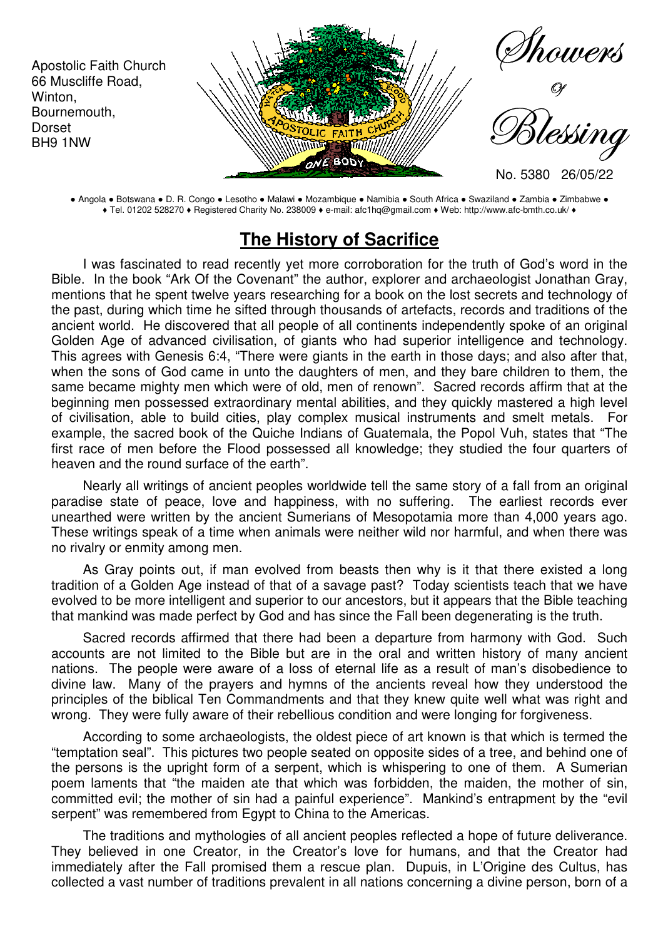

● Angola ● Botswana ● D. R. Congo ● Lesotho ● Malawi ● Mozambique ● Namibia ● South Africa ● Swaziland ● Zambia ● Zimbabwe ● ♦ Tel. 01202 528270 ♦ Registered Charity No. 238009 ♦ e-mail: afc1hq@gmail.com ♦ Web: http://www.afc-bmth.co.uk/ ♦

## **The History of Sacrifice**

I was fascinated to read recently yet more corroboration for the truth of God's word in the Bible. In the book "Ark Of the Covenant" the author, explorer and archaeologist Jonathan Gray, mentions that he spent twelve years researching for a book on the lost secrets and technology of the past, during which time he sifted through thousands of artefacts, records and traditions of the ancient world. He discovered that all people of all continents independently spoke of an original Golden Age of advanced civilisation, of giants who had superior intelligence and technology. This agrees with Genesis 6:4, "There were giants in the earth in those days; and also after that, when the sons of God came in unto the daughters of men, and they bare children to them, the same became mighty men which were of old, men of renown". Sacred records affirm that at the beginning men possessed extraordinary mental abilities, and they quickly mastered a high level of civilisation, able to build cities, play complex musical instruments and smelt metals. For example, the sacred book of the Quiche Indians of Guatemala, the Popol Vuh, states that "The first race of men before the Flood possessed all knowledge; they studied the four quarters of heaven and the round surface of the earth".

Nearly all writings of ancient peoples worldwide tell the same story of a fall from an original paradise state of peace, love and happiness, with no suffering. The earliest records ever unearthed were written by the ancient Sumerians of Mesopotamia more than 4,000 years ago. These writings speak of a time when animals were neither wild nor harmful, and when there was no rivalry or enmity among men.

As Gray points out, if man evolved from beasts then why is it that there existed a long tradition of a Golden Age instead of that of a savage past? Today scientists teach that we have evolved to be more intelligent and superior to our ancestors, but it appears that the Bible teaching that mankind was made perfect by God and has since the Fall been degenerating is the truth.

Sacred records affirmed that there had been a departure from harmony with God. Such accounts are not limited to the Bible but are in the oral and written history of many ancient nations. The people were aware of a loss of eternal life as a result of man's disobedience to divine law. Many of the prayers and hymns of the ancients reveal how they understood the principles of the biblical Ten Commandments and that they knew quite well what was right and wrong. They were fully aware of their rebellious condition and were longing for forgiveness.

According to some archaeologists, the oldest piece of art known is that which is termed the "temptation seal". This pictures two people seated on opposite sides of a tree, and behind one of the persons is the upright form of a serpent, which is whispering to one of them. A Sumerian poem laments that "the maiden ate that which was forbidden, the maiden, the mother of sin, committed evil; the mother of sin had a painful experience". Mankind's entrapment by the "evil serpent" was remembered from Egypt to China to the Americas.

The traditions and mythologies of all ancient peoples reflected a hope of future deliverance. They believed in one Creator, in the Creator's love for humans, and that the Creator had immediately after the Fall promised them a rescue plan. Dupuis, in L'Origine des Cultus, has collected a vast number of traditions prevalent in all nations concerning a divine person, born of a